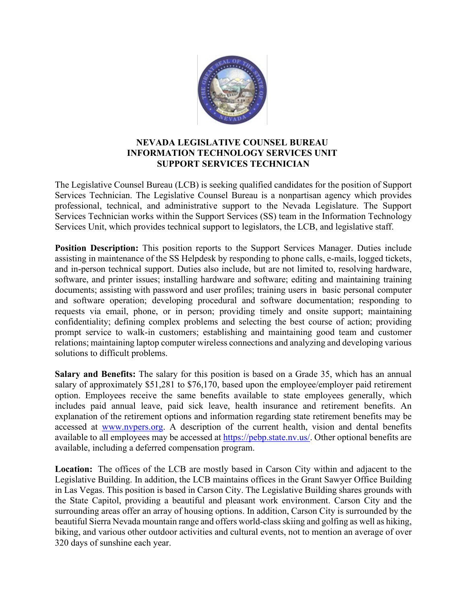

## **NEVADA LEGISLATIVE COUNSEL BUREAU INFORMATION TECHNOLOGY SERVICES UNIT SUPPORT SERVICES TECHNICIAN**

The Legislative Counsel Bureau (LCB) is seeking qualified candidates for the position of Support Services Technician. The Legislative Counsel Bureau is a nonpartisan agency which provides professional, technical, and administrative support to the Nevada Legislature. The Support Services Technician works within the Support Services (SS) team in the Information Technology Services Unit, which provides technical support to legislators, the LCB, and legislative staff.

**Position Description:** This position reports to the Support Services Manager. Duties include assisting in maintenance of the SS Helpdesk by responding to phone calls, e-mails, logged tickets, and in-person technical support. Duties also include, but are not limited to, resolving hardware, software, and printer issues; installing hardware and software; editing and maintaining training documents; assisting with password and user profiles; training users in basic personal computer and software operation; developing procedural and software documentation; responding to requests via email, phone, or in person; providing timely and onsite support; maintaining confidentiality; defining complex problems and selecting the best course of action; providing prompt service to walk-in customers; establishing and maintaining good team and customer relations; maintaining laptop computer wireless connections and analyzing and developing various solutions to difficult problems.

**Salary and Benefits:** The salary for this position is based on a Grade 35, which has an annual salary of approximately \$51,281 to \$76,170, based upon the employee/employer paid retirement option. Employees receive the same benefits available to state employees generally, which includes paid annual leave, paid sick leave, health insurance and retirement benefits. An explanation of the retirement options and information regarding state retirement benefits may be accessed at [www.nvpers.org.](http://www.nvpers.org/) A description of the current health, vision and dental benefits available to all employees may be accessed at [https://pebp.state.nv.us/.](https://pebp.state.nv.us/) Other optional benefits are available, including a deferred compensation program.

**Location:** The offices of the LCB are mostly based in Carson City within and adjacent to the Legislative Building. In addition, the LCB maintains offices in the Grant Sawyer Office Building in Las Vegas. This position is based in Carson City. The Legislative Building shares grounds with the State Capitol, providing a beautiful and pleasant work environment. Carson City and the surrounding areas offer an array of housing options. In addition, Carson City is surrounded by the beautiful Sierra Nevada mountain range and offers world-class skiing and golfing as well as hiking, biking, and various other outdoor activities and cultural events, not to mention an average of over 320 days of sunshine each year.